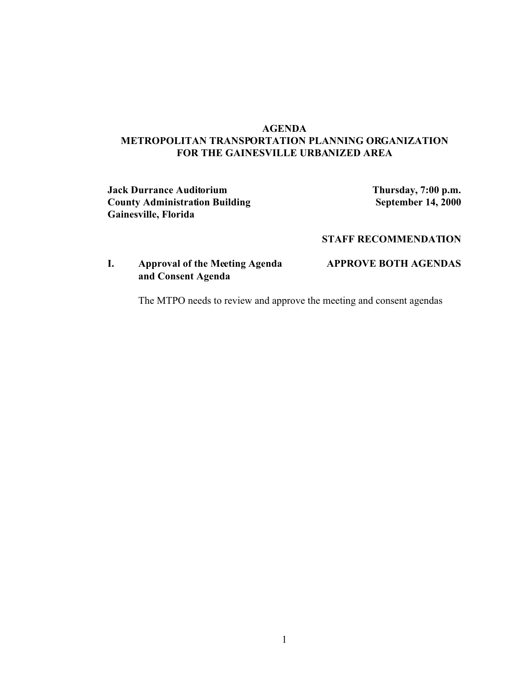# **AGENDA METROPOLITAN TRANSPORTATION PLANNING ORGANIZATION FOR THE GAINESVILLE URBANIZED AREA**

**Jack Durrance Auditorium Thursday, 7:00 p.m. County Administration Building <b>September 14, 2000 Gainesville, Florida**

## **STAFF RECOMMENDATION**

# **I. Approval of the Meeting Agenda APPROVE BOTH AGENDAS and Consent Agenda**

The MTPO needs to review and approve the meeting and consent agendas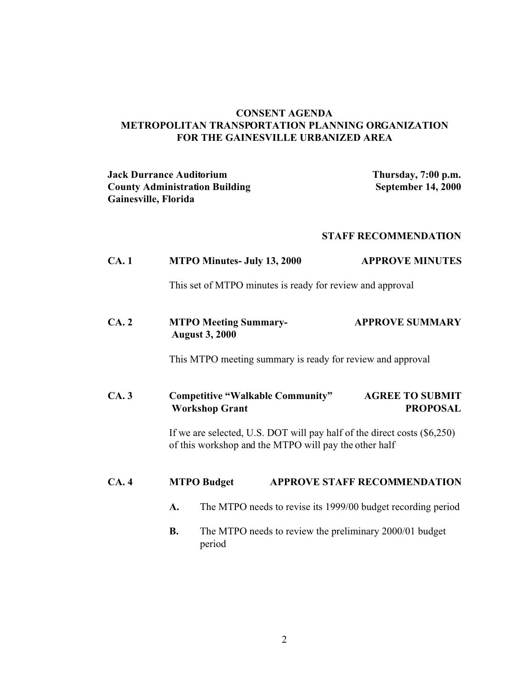# **CONSENT AGENDA METROPOLITAN TRANSPORTATION PLANNING ORGANIZATION FOR THE GAINESVILLE URBANIZED AREA**

| <b>Jack Durrance Auditorium</b>       | Thursday, 7:00 p.m. |
|---------------------------------------|---------------------|
| <b>County Administration Building</b> | September 14, 2000  |
| Gainesville, Florida                  |                     |

# **STAFF RECOMMENDATION**

| CA.1 |                                                                                                                                     | <b>MTPO Minutes- July 13, 2000</b>                                | <b>APPROVE MINUTES</b>                    |  |
|------|-------------------------------------------------------------------------------------------------------------------------------------|-------------------------------------------------------------------|-------------------------------------------|--|
|      |                                                                                                                                     | This set of MTPO minutes is ready for review and approval         |                                           |  |
| CA.2 |                                                                                                                                     | <b>MTPO Meeting Summary-</b><br><b>August 3, 2000</b>             | <b>APPROVE SUMMARY</b>                    |  |
|      |                                                                                                                                     | This MTPO meeting summary is ready for review and approval        |                                           |  |
| CA.3 |                                                                                                                                     | <b>Competitive "Walkable Community"</b><br><b>Workshop Grant</b>  | <b>AGREE TO SUBMIT</b><br><b>PROPOSAL</b> |  |
|      | If we are selected, U.S. DOT will pay half of the direct costs $(\$6,250)$<br>of this workshop and the MTPO will pay the other half |                                                                   |                                           |  |
| CA.4 |                                                                                                                                     | <b>MTPO Budget</b>                                                | <b>APPROVE STAFF RECOMMENDATION</b>       |  |
|      | A.                                                                                                                                  | The MTPO needs to revise its 1999/00 budget recording period      |                                           |  |
|      | <b>B.</b>                                                                                                                           | The MTPO needs to review the preliminary 2000/01 budget<br>period |                                           |  |
|      |                                                                                                                                     |                                                                   |                                           |  |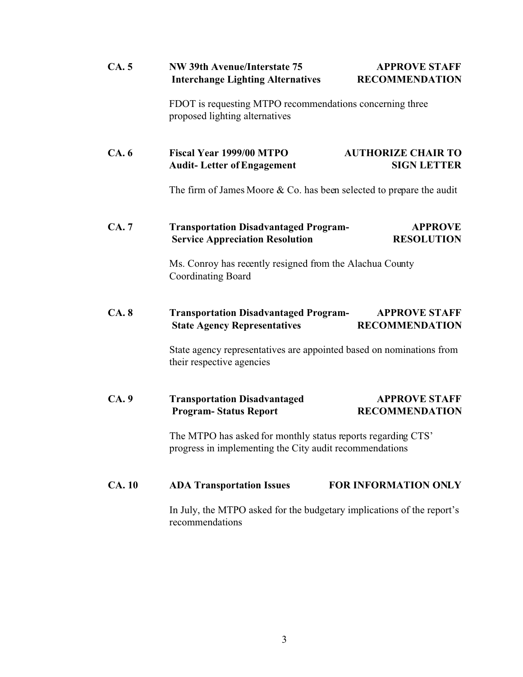| CA.5         | NW 39th Avenue/Interstate 75<br><b>Interchange Lighting Alternatives</b>                                                | <b>APPROVE STAFF</b><br><b>RECOMMENDATION</b>                          |  |
|--------------|-------------------------------------------------------------------------------------------------------------------------|------------------------------------------------------------------------|--|
|              | FDOT is requesting MTPO recommendations concerning three<br>proposed lighting alternatives                              |                                                                        |  |
| CA.6         | Fiscal Year 1999/00 MTPO<br><b>Audit-Letter of Engagement</b>                                                           | <b>AUTHORIZE CHAIR TO</b><br><b>SIGN LETTER</b>                        |  |
|              |                                                                                                                         | The firm of James Moore $& Co.$ has been selected to prepare the audit |  |
| CA. 7        | <b>Transportation Disadvantaged Program-</b><br><b>Service Appreciation Resolution</b>                                  | <b>APPROVE</b><br><b>RESOLUTION</b>                                    |  |
|              | Ms. Conroy has recently resigned from the Alachua County<br><b>Coordinating Board</b>                                   |                                                                        |  |
| CA.8         | <b>Transportation Disadvantaged Program-</b><br><b>State Agency Representatives</b>                                     | <b>APPROVE STAFF</b><br><b>RECOMMENDATION</b>                          |  |
|              | State agency representatives are appointed based on nominations from<br>their respective agencies                       |                                                                        |  |
| CA.9         | <b>Transportation Disadvantaged</b><br><b>Program-Status Report</b>                                                     | <b>APPROVE STAFF</b><br><b>RECOMMENDATION</b>                          |  |
|              | The MTPO has asked for monthly status reports regarding CTS'<br>progress in implementing the City audit recommendations |                                                                        |  |
| <b>CA.10</b> | <b>ADA Transportation Issues</b>                                                                                        | <b>FOR INFORMATION ONLY</b>                                            |  |
|              | In July, the MTPO asked for the budgetary implications of the report's<br>recommendations                               |                                                                        |  |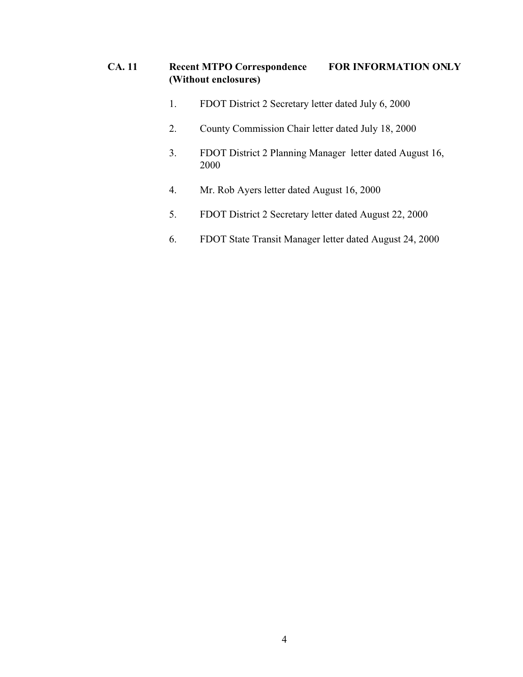# **CA. 11 Recent MTPO Correspondence FOR INFORMATION ONLY (Without enclosures)**

- 1. FDOT District 2 Secretary letter dated July 6, 2000
- 2. County Commission Chair letter dated July 18, 2000
- 3. FDOT District 2 Planning Manager letter dated August 16, 2000
- 4. Mr. Rob Ayers letter dated August 16, 2000
- 5. FDOT District 2 Secretary letter dated August 22, 2000
- 6. FDOT State Transit Manager letter dated August 24, 2000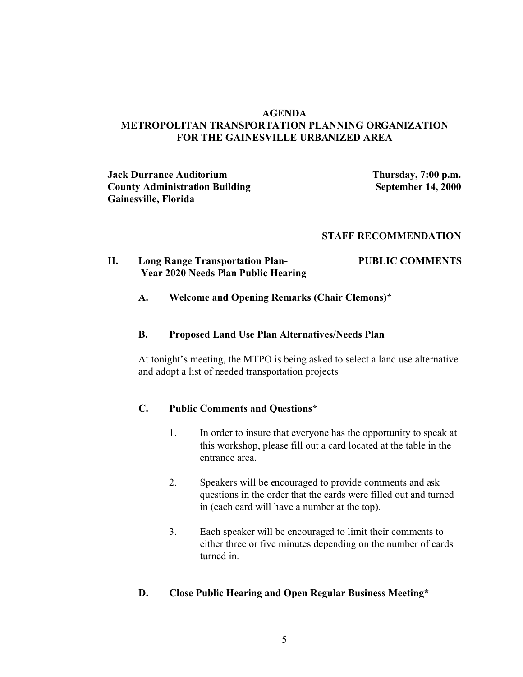### **AGENDA METROPOLITAN TRANSPORTATION PLANNING ORGANIZATION FOR THE GAINESVILLE URBANIZED AREA**

**Jack Durrance Auditorium Thursday, 7:00 p.m. County Administration Building <b>September 14, 2000 Gainesville, Florida**

#### **STAFF RECOMMENDATION**

#### **II. Long Range Transportation Plan- PUBLIC COMMENTS Year 2020 Needs Plan Public Hearing**

#### **A. Welcome and Opening Remarks (Chair Clemons)\***

#### **B. Proposed Land Use Plan Alternatives/Needs Plan**

At tonight's meeting, the MTPO is being asked to select a land use alternative and adopt a list of needed transportation projects

#### **C. Public Comments and Questions\***

- 1. In order to insure that everyone has the opportunity to speak at this workshop, please fill out a card located at the table in the entrance area.
- 2. Speakers will be encouraged to provide comments and ask questions in the order that the cards were filled out and turned in (each card will have a number at the top).
- 3. Each speaker will be encouraged to limit their comments to either three or five minutes depending on the number of cards turned in.

### **D. Close Public Hearing and Open Regular Business Meeting\***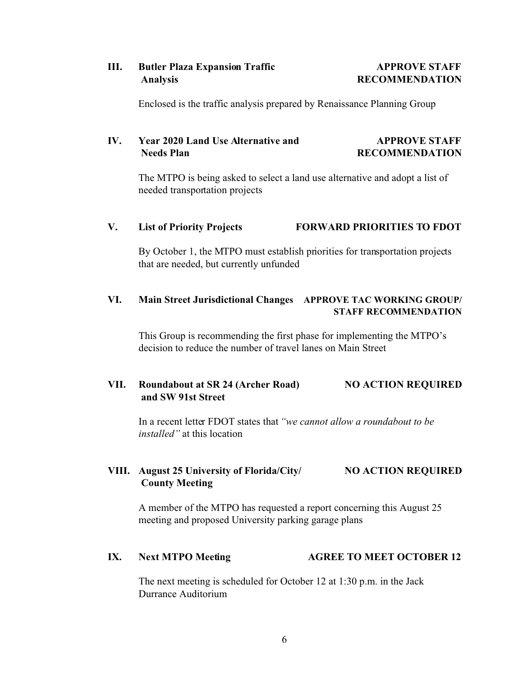# **III.** Butler Plaza Expansion Traffic **APPROVE STAFF Analysis RECOMMENDATION**

Enclosed is the traffic analysis prepared by Renaissance Planning Group

# **IV. Year 2020 Land Use Alternative and APPROVE STAFF Needs Plan RECOMMENDATION**

The MTPO is being asked to select a land use alternative and adopt a list of needed transportation projects

# **V. List of Priority Projects FORWARD PRIORITIES TO FDOT**

By October 1, the MTPO must establish priorities for transportation projects that are needed, but currently unfunded

# **VI. Main Street Jurisdictional Changes APPROVE TAC WORKING GROUP/ STAFF RECOMMENDATION**

This Group is recommending the first phase for implementing the MTPO's decision to reduce the number of travel lanes on Main Street

# **VII. Roundabout at SR 24 (Archer Road) NO ACTION REQUIRED and SW 91st Street**

In a recent letter FDOT states that *"we cannot allow a roundabout to be installed"* at this location

# **VIII. August 25 University of Florida/City/ NO ACTION REQUIRED County Meeting**

A member of the MTPO has requested a report concerning this August 25 meeting and proposed University parking garage plans

# **IX.** Next MTPO Meeting **AGREE TO MEET OCTOBER 12**

The next meeting is scheduled for October 12 at 1:30 p.m. in the Jack Durrance Auditorium